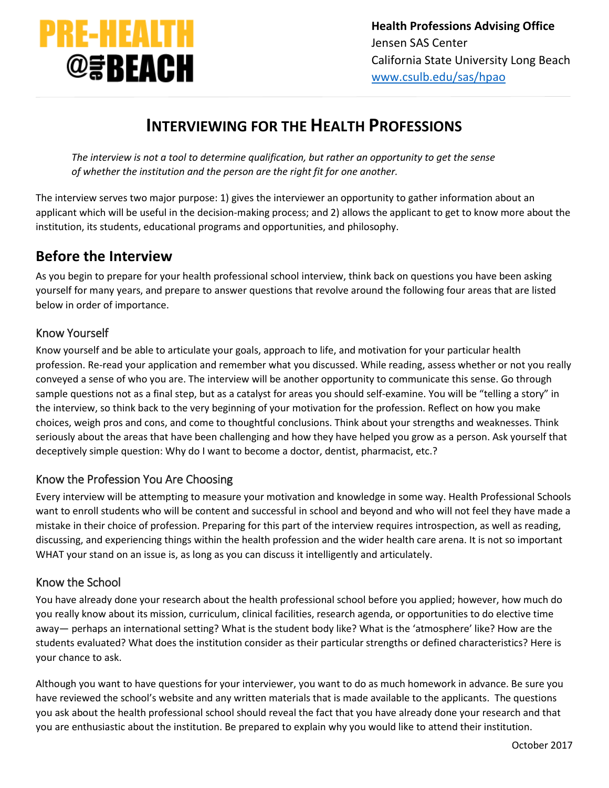

# **INTERVIEWING FOR THE HEALTH PROFESSIONS**

*The interview is not a tool to determine qualification, but rather an opportunity to get the sense of whether the institution and the person are the right fit for one another.*

The interview serves two major purpose: 1) gives the interviewer an opportunity to gather information about an applicant which will be useful in the decision-making process; and 2) allows the applicant to get to know more about the institution, its students, educational programs and opportunities, and philosophy.

# **Before the Interview**

As you begin to prepare for your health professional school interview, think back on questions you have been asking yourself for many years, and prepare to answer questions that revolve around the following four areas that are listed below in order of importance.

#### Know Yourself

Know yourself and be able to articulate your goals, approach to life, and motivation for your particular health profession. Re-read your application and remember what you discussed. While reading, assess whether or not you really conveyed a sense of who you are. The interview will be another opportunity to communicate this sense. Go through sample questions not as a final step, but as a catalyst for areas you should self-examine. You will be "telling a story" in the interview, so think back to the very beginning of your motivation for the profession. Reflect on how you make choices, weigh pros and cons, and come to thoughtful conclusions. Think about your strengths and weaknesses. Think seriously about the areas that have been challenging and how they have helped you grow as a person. Ask yourself that deceptively simple question: Why do I want to become a doctor, dentist, pharmacist, etc.?

#### Know the Profession You Are Choosing

Every interview will be attempting to measure your motivation and knowledge in some way. Health Professional Schools want to enroll students who will be content and successful in school and beyond and who will not feel they have made a mistake in their choice of profession. Preparing for this part of the interview requires introspection, as well as reading, discussing, and experiencing things within the health profession and the wider health care arena. It is not so important WHAT your stand on an issue is, as long as you can discuss it intelligently and articulately.

#### Know the School

You have already done your research about the health professional school before you applied; however, how much do you really know about its mission, curriculum, clinical facilities, research agenda, or opportunities to do elective time away— perhaps an international setting? What is the student body like? What is the 'atmosphere' like? How are the students evaluated? What does the institution consider as their particular strengths or defined characteristics? Here is your chance to ask.

Although you want to have questions for your interviewer, you want to do as much homework in advance. Be sure you have reviewed the school's website and any written materials that is made available to the applicants. The questions you ask about the health professional school should reveal the fact that you have already done your research and that you are enthusiastic about the institution. Be prepared to explain why you would like to attend their institution.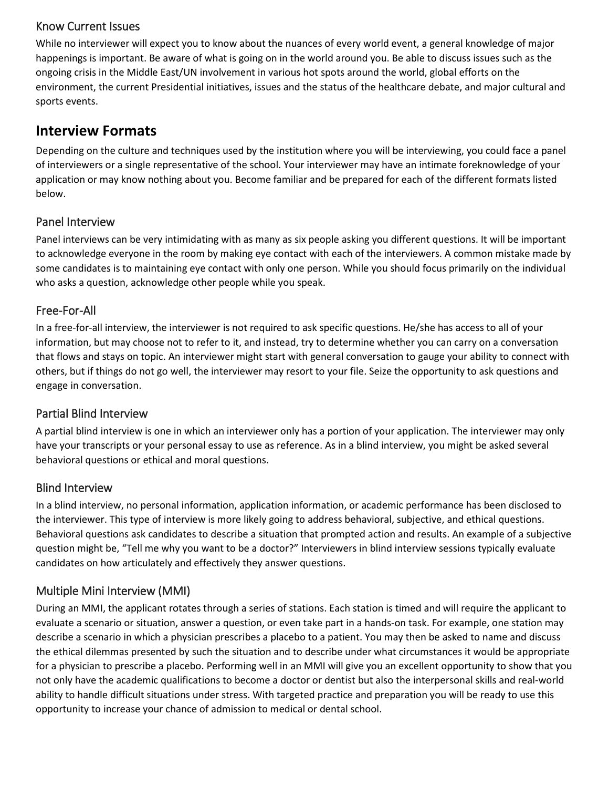#### Know Current Issues

While no interviewer will expect you to know about the nuances of every world event, a general knowledge of major happenings is important. Be aware of what is going on in the world around you. Be able to discuss issues such as the ongoing crisis in the Middle East/UN involvement in various hot spots around the world, global efforts on the environment, the current Presidential initiatives, issues and the status of the healthcare debate, and major cultural and sports events.

# **Interview Formats**

Depending on the culture and techniques used by the institution where you will be interviewing, you could face a panel of interviewers or a single representative of the school. Your interviewer may have an intimate foreknowledge of your application or may know nothing about you. Become familiar and be prepared for each of the different formats listed below.

#### Panel Interview

Panel interviews can be very intimidating with as many as six people asking you different questions. It will be important to acknowledge everyone in the room by making eye contact with each of the interviewers. A common mistake made by some candidates is to maintaining eye contact with only one person. While you should focus primarily on the individual who asks a question, acknowledge other people while you speak.

## Free-For-All

In a free-for-all interview, the interviewer is not required to ask specific questions. He/she has access to all of your information, but may choose not to refer to it, and instead, try to determine whether you can carry on a conversation that flows and stays on topic. An interviewer might start with general conversation to gauge your ability to connect with others, but if things do not go well, the interviewer may resort to your file. Seize the opportunity to ask questions and engage in conversation.

## Partial Blind Interview

A partial blind interview is one in which an interviewer only has a portion of your application. The interviewer may only have your transcripts or your personal essay to use as reference. As in a blind interview, you might be asked several behavioral questions or ethical and moral questions.

## Blind Interview

In a blind interview, no personal information, application information, or academic performance has been disclosed to the interviewer. This type of interview is more likely going to address behavioral, subjective, and ethical questions. Behavioral questions ask candidates to describe a situation that prompted action and results. An example of a subjective question might be, "Tell me why you want to be a doctor?" Interviewers in blind interview sessions typically evaluate candidates on how articulately and effectively they answer questions.

## Multiple Mini Interview (MMI)

During an MMI, the applicant rotates through a series of stations. Each station is timed and will require the applicant to evaluate a scenario or situation, answer a question, or even take part in a hands-on task. For example, one station may describe a scenario in which a physician prescribes a placebo to a patient. You may then be asked to name and discuss the ethical dilemmas presented by such the situation and to describe under what circumstances it would be appropriate for a physician to prescribe a placebo. Performing well in an MMI will give you an excellent opportunity to show that you not only have the academic qualifications to become a doctor or dentist but also the interpersonal skills and real-world ability to handle difficult situations under stress. With targeted practice and preparation you will be ready to use this opportunity to increase your chance of admission to medical or dental school.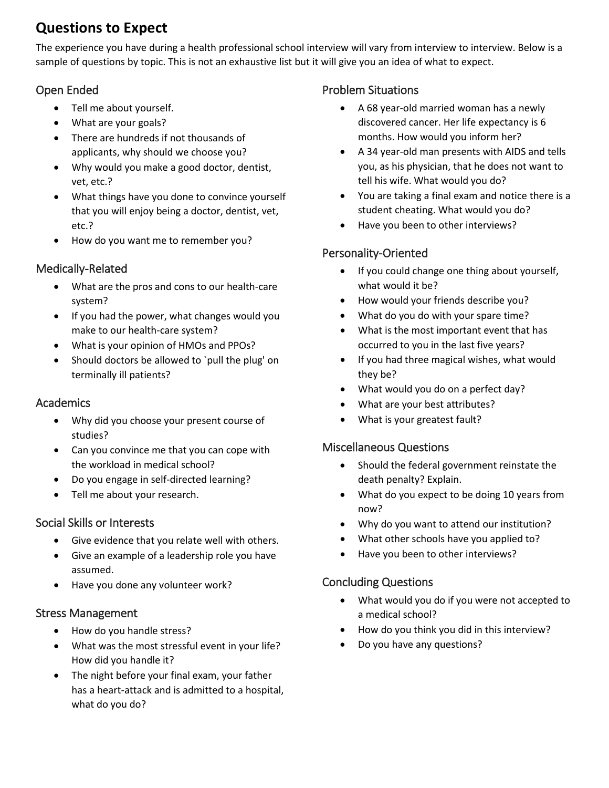# **Questions to Expect**

The experience you have during a health professional school interview will vary from interview to interview. Below is a sample of questions by topic. This is not an exhaustive list but it will give you an idea of what to expect.

# Open Ended

- Tell me about yourself.
- What are your goals?
- There are hundreds if not thousands of applicants, why should we choose you?
- Why would you make a good doctor, dentist, vet, etc.?
- What things have you done to convince yourself that you will enjoy being a doctor, dentist, vet, etc.?
- How do you want me to remember you?

# Medically-Related

- What are the pros and cons to our health-care system?
- If you had the power, what changes would you make to our health-care system?
- What is your opinion of HMOs and PPOs?
- Should doctors be allowed to `pull the plug' on terminally ill patients?

# Academics

- Why did you choose your present course of studies?
- Can you convince me that you can cope with the workload in medical school?
- Do you engage in self-directed learning?
- Tell me about your research.

## Social Skills or Interests

- Give evidence that you relate well with others.
- Give an example of a leadership role you have assumed.
- Have you done any volunteer work?

## Stress Management

- How do you handle stress?
- What was the most stressful event in your life? How did you handle it?
- The night before your final exam, your father has a heart-attack and is admitted to a hospital, what do you do?

## Problem Situations

- A 68 year-old married woman has a newly discovered cancer. Her life expectancy is 6 months. How would you inform her?
- A 34 year-old man presents with AIDS and tells you, as his physician, that he does not want to tell his wife. What would you do?
- You are taking a final exam and notice there is a student cheating. What would you do?
- Have you been to other interviews?

## Personality-Oriented

- If you could change one thing about yourself, what would it be?
- How would your friends describe you?
- What do you do with your spare time?
- What is the most important event that has occurred to you in the last five years?
- If you had three magical wishes, what would they be?
- What would you do on a perfect day?
- What are your best attributes?
- What is your greatest fault?

## Miscellaneous Questions

- Should the federal government reinstate the death penalty? Explain.
- What do you expect to be doing 10 years from now?
- Why do you want to attend our institution?
- What other schools have you applied to?
- Have you been to other interviews?

## Concluding Questions

- What would you do if you were not accepted to a medical school?
- How do you think you did in this interview?
- Do you have any questions?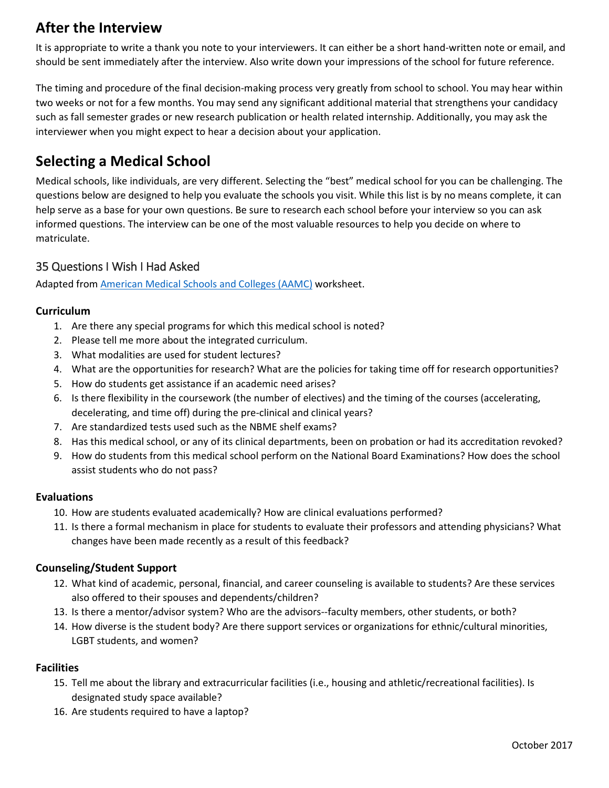# **After the Interview**

It is appropriate to write a thank you note to your interviewers. It can either be a short hand-written note or email, and should be sent immediately after the interview. Also write down your impressions of the school for future reference.

The timing and procedure of the final decision-making process very greatly from school to school. You may hear within two weeks or not for a few months. You may send any significant additional material that strengthens your candidacy such as fall semester grades or new research publication or health related internship. Additionally, you may ask the interviewer when you might expect to hear a decision about your application.

# **Selecting a Medical School**

Medical schools, like individuals, are very different. Selecting the "best" medical school for you can be challenging. The questions below are designed to help you evaluate the schools you visit. While this list is by no means complete, it can help serve as a base for your own questions. Be sure to research each school before your interview so you can ask informed questions. The interview can be one of the most valuable resources to help you decide on where to matriculate.

## 35 Questions I Wish I Had Asked

Adapted from [American Medical Schools and Colleges \(AAMC\)](http://www.aamc.org/) worksheet.

#### **Curriculum**

- 1. Are there any special programs for which this medical school is noted?
- 2. Please tell me more about the integrated curriculum.
- 3. What modalities are used for student lectures?
- 4. What are the opportunities for research? What are the policies for taking time off for research opportunities?
- 5. How do students get assistance if an academic need arises?
- 6. Is there flexibility in the coursework (the number of electives) and the timing of the courses (accelerating, decelerating, and time off) during the pre-clinical and clinical years?
- 7. Are standardized tests used such as the NBME shelf exams?
- 8. Has this medical school, or any of its clinical departments, been on probation or had its accreditation revoked?
- 9. How do students from this medical school perform on the National Board Examinations? How does the school assist students who do not pass?

#### **Evaluations**

- 10. How are students evaluated academically? How are clinical evaluations performed?
- 11. Is there a formal mechanism in place for students to evaluate their professors and attending physicians? What changes have been made recently as a result of this feedback?

#### **Counseling/Student Support**

- 12. What kind of academic, personal, financial, and career counseling is available to students? Are these services also offered to their spouses and dependents/children?
- 13. Is there a mentor/advisor system? Who are the advisors--faculty members, other students, or both?
- 14. How diverse is the student body? Are there support services or organizations for ethnic/cultural minorities, LGBT students, and women?

#### **Facilities**

- 15. Tell me about the library and extracurricular facilities (i.e., housing and athletic/recreational facilities). Is designated study space available?
- 16. Are students required to have a laptop?